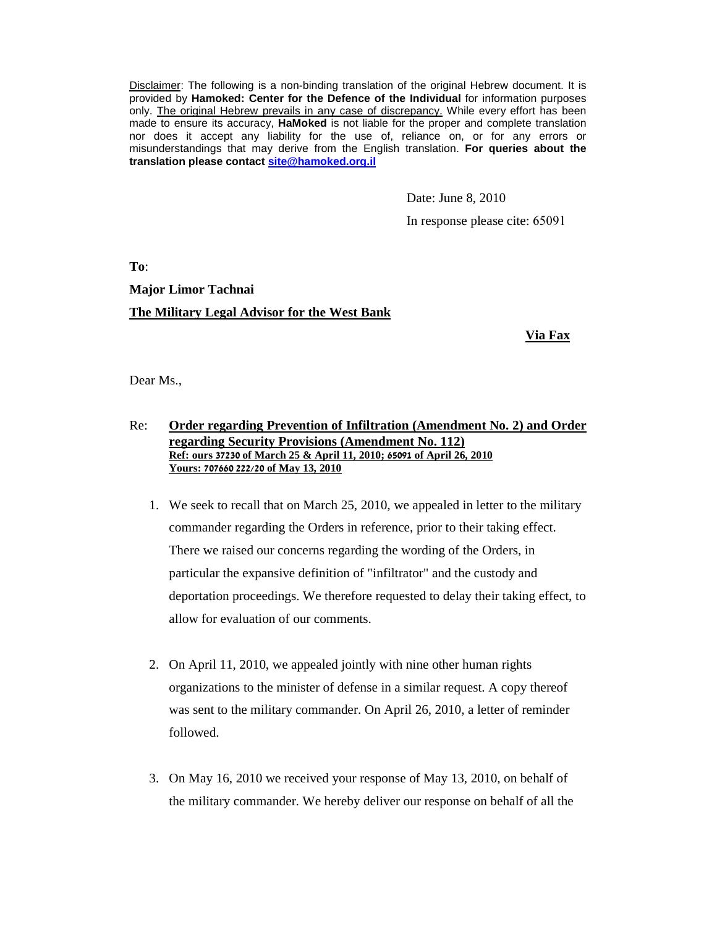Disclaimer: The following is a non-binding translation of the original Hebrew document. It is provided by **Hamoked: Center for the Defence of the Individual** for information purposes only. The original Hebrew prevails in any case of discrepancy. While every effort has been made to ensure its accuracy, **HaMoked** is not liable for the proper and complete translation nor does it accept any liability for the use of, reliance on, or for any errors or misunderstandings that may derive from the English translation. **For queries about the translation please contact site@hamoked.org.il**

Date: June 8, 2010

In response please cite: 65091

**To**:

**Major Limor Tachnai** 

### **The Military Legal Advisor for the West Bank**

**Via Fax**

Dear Ms.,

# Re: **Order regarding Prevention of Infiltration (Amendment No. 2) and Order regarding Security Provisions (Amendment No. 112) Ref: ours** 37230 **of March 25 & April 11, 2010;** 65091 **of April 26, 2010 Yours:** 707660 222/20 **of May 13, 2010**

- 1. We seek to recall that on March 25, 2010, we appealed in letter to the military commander regarding the Orders in reference, prior to their taking effect. There we raised our concerns regarding the wording of the Orders, in particular the expansive definition of "infiltrator" and the custody and deportation proceedings. We therefore requested to delay their taking effect, to allow for evaluation of our comments.
- 2. On April 11, 2010, we appealed jointly with nine other human rights organizations to the minister of defense in a similar request. A copy thereof was sent to the military commander. On April 26, 2010, a letter of reminder followed.
- 3. On May 16, 2010 we received your response of May 13, 2010, on behalf of the military commander. We hereby deliver our response on behalf of all the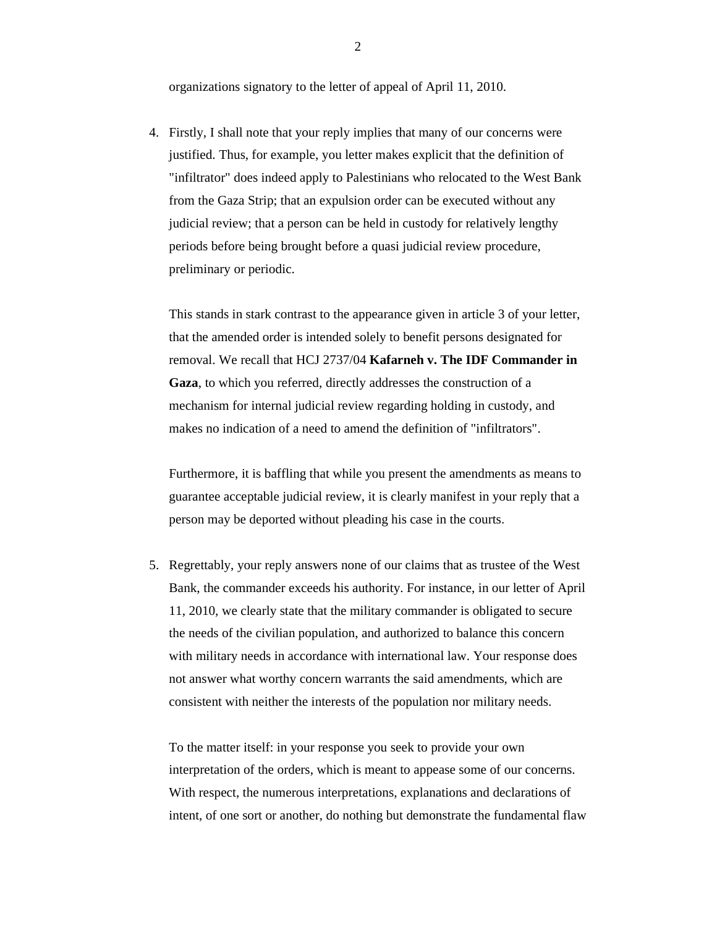organizations signatory to the letter of appeal of April 11, 2010.

4. Firstly, I shall note that your reply implies that many of our concerns were justified. Thus, for example, you letter makes explicit that the definition of "infiltrator" does indeed apply to Palestinians who relocated to the West Bank from the Gaza Strip; that an expulsion order can be executed without any judicial review; that a person can be held in custody for relatively lengthy periods before being brought before a quasi judicial review procedure, preliminary or periodic.

This stands in stark contrast to the appearance given in article 3 of your letter, that the amended order is intended solely to benefit persons designated for removal. We recall that HCJ 2737/04 **Kafarneh v. The IDF Commander in Gaza**, to which you referred, directly addresses the construction of a mechanism for internal judicial review regarding holding in custody, and makes no indication of a need to amend the definition of "infiltrators".

Furthermore, it is baffling that while you present the amendments as means to guarantee acceptable judicial review, it is clearly manifest in your reply that a person may be deported without pleading his case in the courts.

5. Regrettably, your reply answers none of our claims that as trustee of the West Bank, the commander exceeds his authority. For instance, in our letter of April 11, 2010, we clearly state that the military commander is obligated to secure the needs of the civilian population, and authorized to balance this concern with military needs in accordance with international law. Your response does not answer what worthy concern warrants the said amendments, which are consistent with neither the interests of the population nor military needs.

To the matter itself: in your response you seek to provide your own interpretation of the orders, which is meant to appease some of our concerns. With respect, the numerous interpretations, explanations and declarations of intent, of one sort or another, do nothing but demonstrate the fundamental flaw

2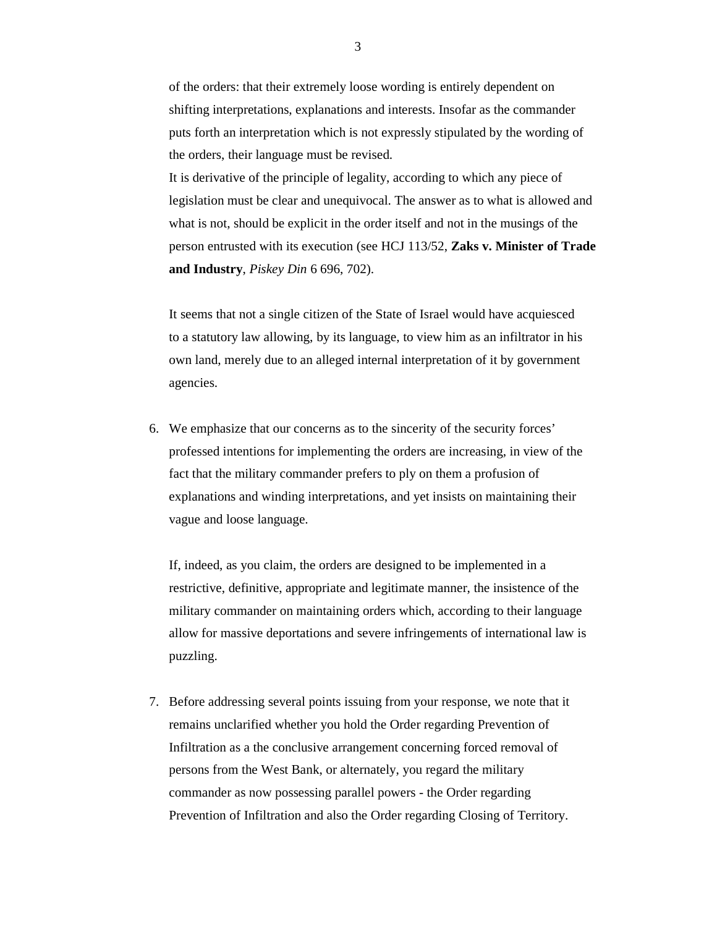of the orders: that their extremely loose wording is entirely dependent on shifting interpretations, explanations and interests. Insofar as the commander puts forth an interpretation which is not expressly stipulated by the wording of the orders, their language must be revised.

It is derivative of the principle of legality, according to which any piece of legislation must be clear and unequivocal. The answer as to what is allowed and what is not, should be explicit in the order itself and not in the musings of the person entrusted with its execution (see HCJ 113/52, **Zaks v. Minister of Trade and Industry**, *Piskey Din* 6 696, 702).

It seems that not a single citizen of the State of Israel would have acquiesced to a statutory law allowing, by its language, to view him as an infiltrator in his own land, merely due to an alleged internal interpretation of it by government agencies.

6. We emphasize that our concerns as to the sincerity of the security forces' professed intentions for implementing the orders are increasing, in view of the fact that the military commander prefers to ply on them a profusion of explanations and winding interpretations, and yet insists on maintaining their vague and loose language.

If, indeed, as you claim, the orders are designed to be implemented in a restrictive, definitive, appropriate and legitimate manner, the insistence of the military commander on maintaining orders which, according to their language allow for massive deportations and severe infringements of international law is puzzling.

7. Before addressing several points issuing from your response, we note that it remains unclarified whether you hold the Order regarding Prevention of Infiltration as a the conclusive arrangement concerning forced removal of persons from the West Bank, or alternately, you regard the military commander as now possessing parallel powers - the Order regarding Prevention of Infiltration and also the Order regarding Closing of Territory.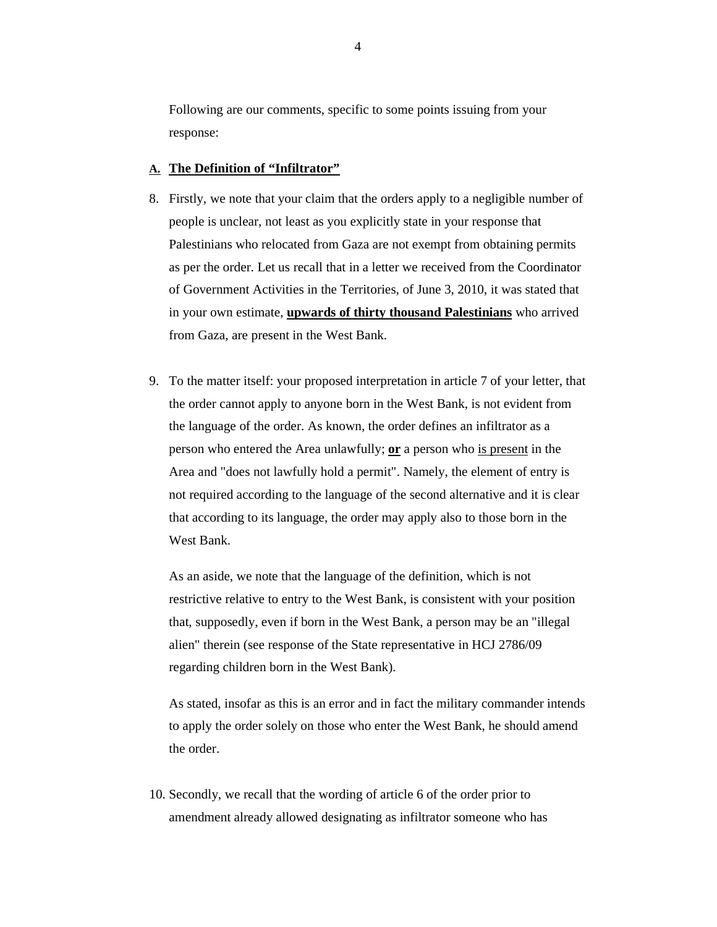Following are our comments, specific to some points issuing from your response:

# **A. The Definition of "Infiltrator"**

- 8. Firstly, we note that your claim that the orders apply to a negligible number of people is unclear, not least as you explicitly state in your response that Palestinians who relocated from Gaza are not exempt from obtaining permits as per the order. Let us recall that in a letter we received from the Coordinator of Government Activities in the Territories, of June 3, 2010, it was stated that in your own estimate, **upwards of thirty thousand Palestinians** who arrived from Gaza, are present in the West Bank.
- 9. To the matter itself: your proposed interpretation in article 7 of your letter, that the order cannot apply to anyone born in the West Bank, is not evident from the language of the order. As known, the order defines an infiltrator as a person who entered the Area unlawfully; **or** a person who is present in the Area and "does not lawfully hold a permit". Namely, the element of entry is not required according to the language of the second alternative and it is clear that according to its language, the order may apply also to those born in the West Bank.

As an aside, we note that the language of the definition, which is not restrictive relative to entry to the West Bank, is consistent with your position that, supposedly, even if born in the West Bank, a person may be an "illegal alien" therein (see response of the State representative in HCJ 2786/09 regarding children born in the West Bank).

As stated, insofar as this is an error and in fact the military commander intends to apply the order solely on those who enter the West Bank, he should amend the order.

10. Secondly, we recall that the wording of article 6 of the order prior to amendment already allowed designating as infiltrator someone who has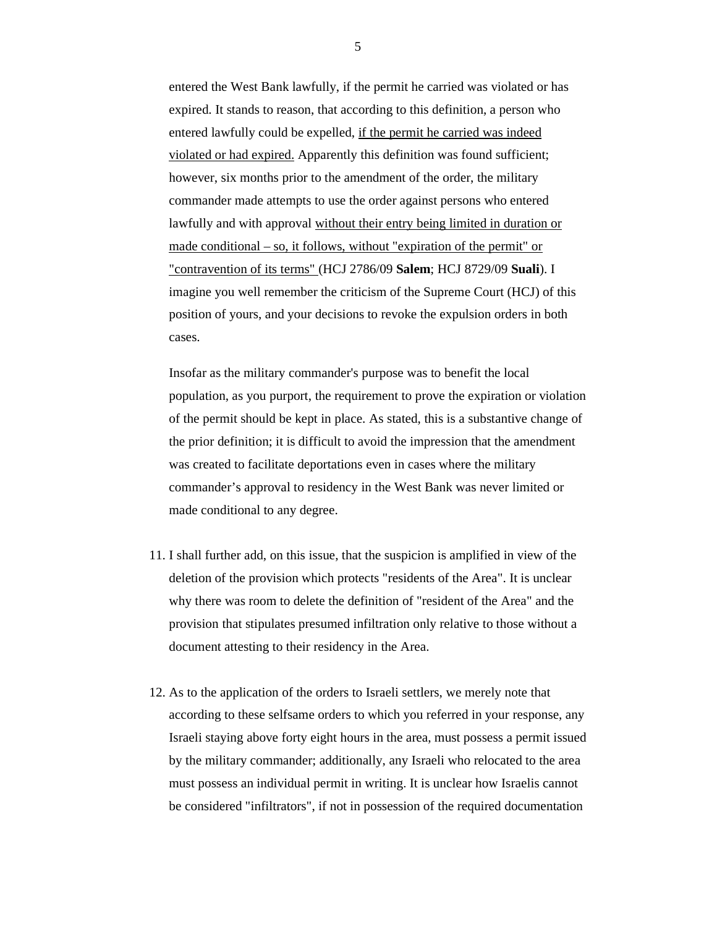entered the West Bank lawfully, if the permit he carried was violated or has expired. It stands to reason, that according to this definition, a person who entered lawfully could be expelled, if the permit he carried was indeed violated or had expired. Apparently this definition was found sufficient; however, six months prior to the amendment of the order, the military commander made attempts to use the order against persons who entered lawfully and with approval without their entry being limited in duration or made conditional – so, it follows, without "expiration of the permit" or "contravention of its terms" (HCJ 2786/09 **Salem**; HCJ 8729/09 **Suali**). I imagine you well remember the criticism of the Supreme Court (HCJ) of this position of yours, and your decisions to revoke the expulsion orders in both cases.

Insofar as the military commander's purpose was to benefit the local population, as you purport, the requirement to prove the expiration or violation of the permit should be kept in place. As stated, this is a substantive change of the prior definition; it is difficult to avoid the impression that the amendment was created to facilitate deportations even in cases where the military commander's approval to residency in the West Bank was never limited or made conditional to any degree.

- 11. I shall further add, on this issue, that the suspicion is amplified in view of the deletion of the provision which protects "residents of the Area". It is unclear why there was room to delete the definition of "resident of the Area" and the provision that stipulates presumed infiltration only relative to those without a document attesting to their residency in the Area.
- 12. As to the application of the orders to Israeli settlers, we merely note that according to these selfsame orders to which you referred in your response, any Israeli staying above forty eight hours in the area, must possess a permit issued by the military commander; additionally, any Israeli who relocated to the area must possess an individual permit in writing. It is unclear how Israelis cannot be considered "infiltrators", if not in possession of the required documentation

5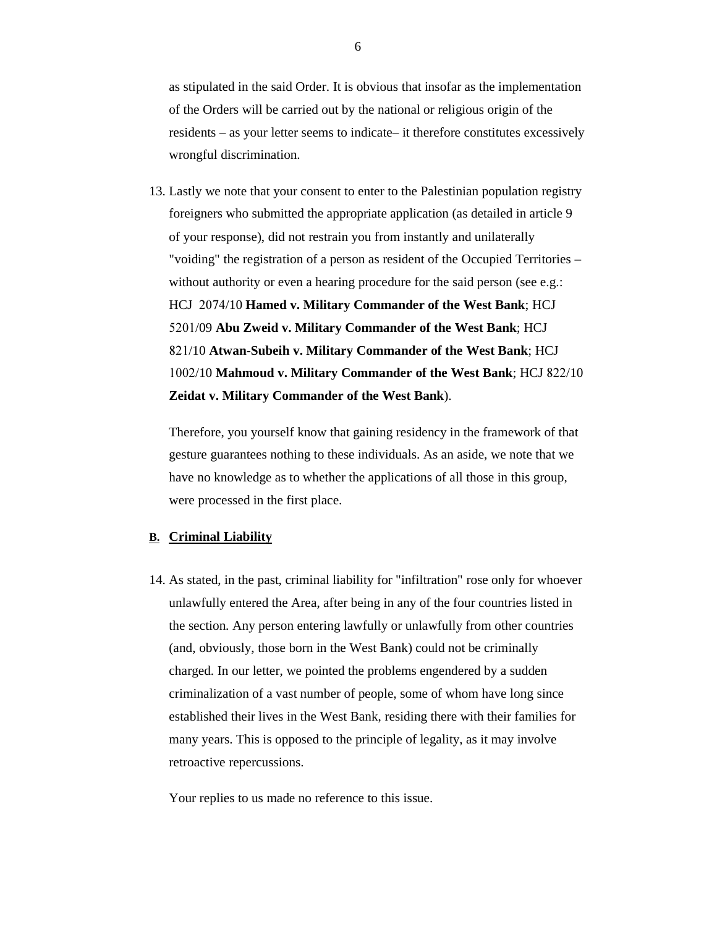as stipulated in the said Order. It is obvious that insofar as the implementation of the Orders will be carried out by the national or religious origin of the residents – as your letter seems to indicate– it therefore constitutes excessively wrongful discrimination.

13. Lastly we note that your consent to enter to the Palestinian population registry foreigners who submitted the appropriate application (as detailed in article 9 of your response), did not restrain you from instantly and unilaterally "voiding" the registration of a person as resident of the Occupied Territories – without authority or even a hearing procedure for the said person (see e.g.: HCJ 2074/10 **Hamed v. Military Commander of the West Bank**; HCJ 5201/09 **Abu Zweid v. Military Commander of the West Bank**; HCJ 821/10 **Atwan-Subeih v. Military Commander of the West Bank**; HCJ 1002/10 **Mahmoud v. Military Commander of the West Bank**; HCJ 822/10 **Zeidat v. Military Commander of the West Bank**).

Therefore, you yourself know that gaining residency in the framework of that gesture guarantees nothing to these individuals. As an aside, we note that we have no knowledge as to whether the applications of all those in this group, were processed in the first place.

#### **B. Criminal Liability**

14. As stated, in the past, criminal liability for "infiltration" rose only for whoever unlawfully entered the Area, after being in any of the four countries listed in the section. Any person entering lawfully or unlawfully from other countries (and, obviously, those born in the West Bank) could not be criminally charged. In our letter, we pointed the problems engendered by a sudden criminalization of a vast number of people, some of whom have long since established their lives in the West Bank, residing there with their families for many years. This is opposed to the principle of legality, as it may involve retroactive repercussions.

Your replies to us made no reference to this issue.

6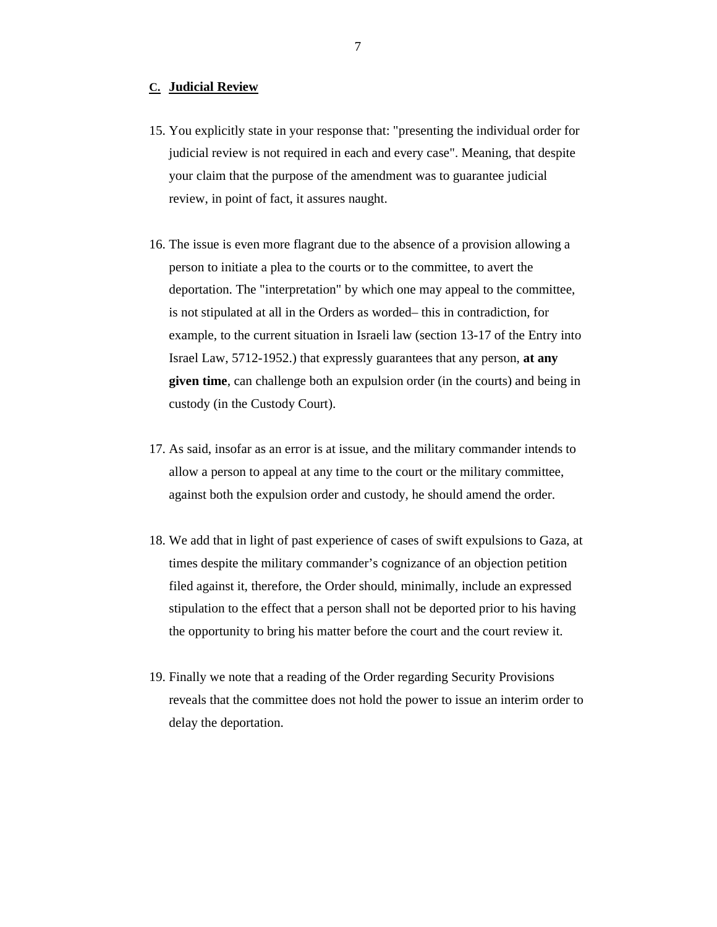#### **C. Judicial Review**

- 15. You explicitly state in your response that: "presenting the individual order for judicial review is not required in each and every case". Meaning, that despite your claim that the purpose of the amendment was to guarantee judicial review, in point of fact, it assures naught.
- 16. The issue is even more flagrant due to the absence of a provision allowing a person to initiate a plea to the courts or to the committee, to avert the deportation. The "interpretation" by which one may appeal to the committee, is not stipulated at all in the Orders as worded– this in contradiction, for example, to the current situation in Israeli law (section 13-17 of the Entry into Israel Law, 5712-1952.) that expressly guarantees that any person, **at any given time**, can challenge both an expulsion order (in the courts) and being in custody (in the Custody Court).
- 17. As said, insofar as an error is at issue, and the military commander intends to allow a person to appeal at any time to the court or the military committee, against both the expulsion order and custody, he should amend the order.
- 18. We add that in light of past experience of cases of swift expulsions to Gaza, at times despite the military commander's cognizance of an objection petition filed against it, therefore, the Order should, minimally, include an expressed stipulation to the effect that a person shall not be deported prior to his having the opportunity to bring his matter before the court and the court review it.
- 19. Finally we note that a reading of the Order regarding Security Provisions reveals that the committee does not hold the power to issue an interim order to delay the deportation.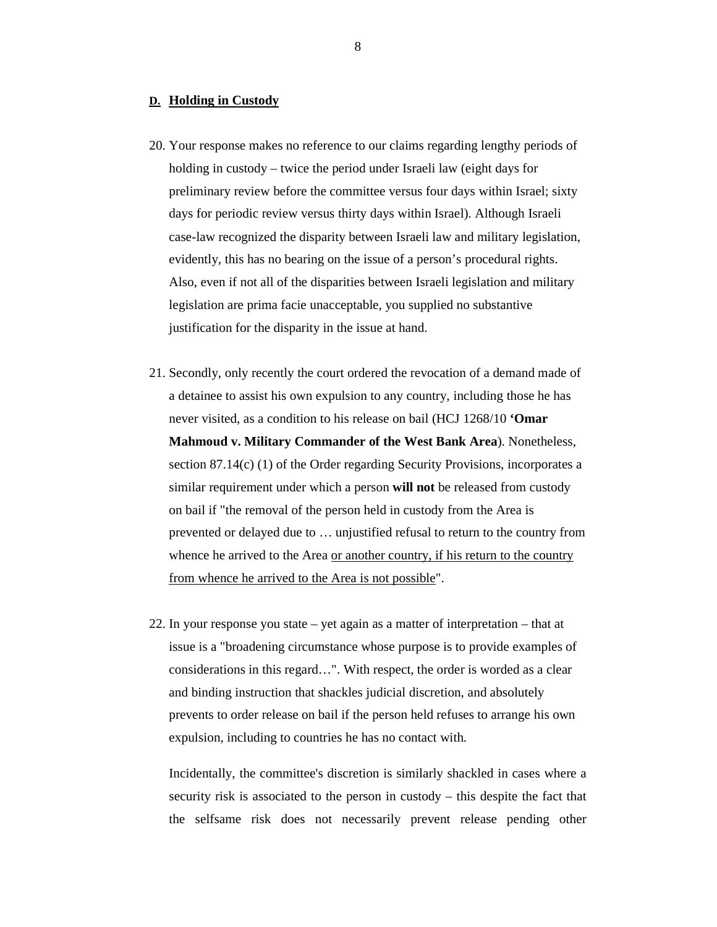#### **D. Holding in Custody**

- 20. Your response makes no reference to our claims regarding lengthy periods of holding in custody – twice the period under Israeli law (eight days for preliminary review before the committee versus four days within Israel; sixty days for periodic review versus thirty days within Israel). Although Israeli case-law recognized the disparity between Israeli law and military legislation, evidently, this has no bearing on the issue of a person's procedural rights. Also, even if not all of the disparities between Israeli legislation and military legislation are prima facie unacceptable, you supplied no substantive justification for the disparity in the issue at hand.
- 21. Secondly, only recently the court ordered the revocation of a demand made of a detainee to assist his own expulsion to any country, including those he has never visited, as a condition to his release on bail (HCJ 1268/10 **'Omar Mahmoud v. Military Commander of the West Bank Area**). Nonetheless, section 87.14(c) (1) of the Order regarding Security Provisions, incorporates a similar requirement under which a person **will not** be released from custody on bail if "the removal of the person held in custody from the Area is prevented or delayed due to … unjustified refusal to return to the country from whence he arrived to the Area or another country, if his return to the country from whence he arrived to the Area is not possible".
- 22. In your response you state yet again as a matter of interpretation that at issue is a "broadening circumstance whose purpose is to provide examples of considerations in this regard…". With respect, the order is worded as a clear and binding instruction that shackles judicial discretion, and absolutely prevents to order release on bail if the person held refuses to arrange his own expulsion, including to countries he has no contact with.

Incidentally, the committee's discretion is similarly shackled in cases where a security risk is associated to the person in custody – this despite the fact that the selfsame risk does not necessarily prevent release pending other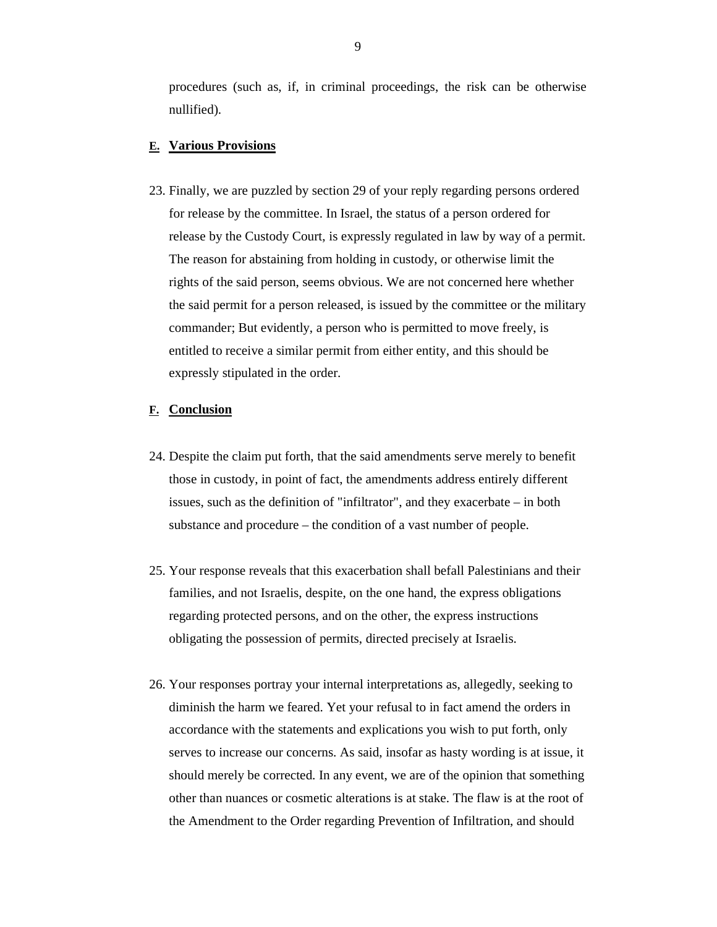procedures (such as, if, in criminal proceedings, the risk can be otherwise nullified).

### **E. Various Provisions**

23. Finally, we are puzzled by section 29 of your reply regarding persons ordered for release by the committee. In Israel, the status of a person ordered for release by the Custody Court, is expressly regulated in law by way of a permit. The reason for abstaining from holding in custody, or otherwise limit the rights of the said person, seems obvious. We are not concerned here whether the said permit for a person released, is issued by the committee or the military commander; But evidently, a person who is permitted to move freely, is entitled to receive a similar permit from either entity, and this should be expressly stipulated in the order.

#### **F. Conclusion**

- 24. Despite the claim put forth, that the said amendments serve merely to benefit those in custody, in point of fact, the amendments address entirely different issues, such as the definition of "infiltrator", and they exacerbate – in both substance and procedure – the condition of a vast number of people.
- 25. Your response reveals that this exacerbation shall befall Palestinians and their families, and not Israelis, despite, on the one hand, the express obligations regarding protected persons, and on the other, the express instructions obligating the possession of permits, directed precisely at Israelis.
- 26. Your responses portray your internal interpretations as, allegedly, seeking to diminish the harm we feared. Yet your refusal to in fact amend the orders in accordance with the statements and explications you wish to put forth, only serves to increase our concerns. As said, insofar as hasty wording is at issue, it should merely be corrected. In any event, we are of the opinion that something other than nuances or cosmetic alterations is at stake. The flaw is at the root of the Amendment to the Order regarding Prevention of Infiltration, and should